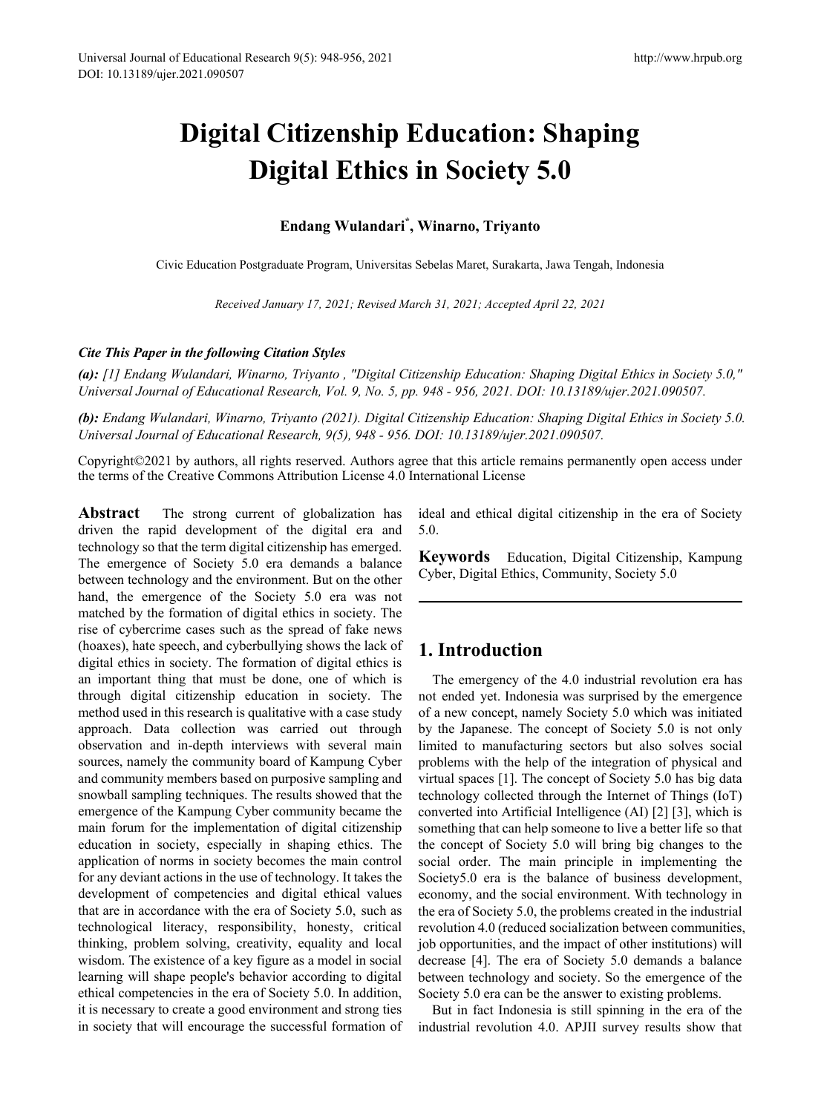# **Digital Citizenship Education: Shaping Digital Ethics in Society 5.0**

## **Endang Wulandari\* , Winarno, Triyanto**

Civic Education Postgraduate Program, Universitas Sebelas Maret, Surakarta, Jawa Tengah, Indonesia

*Received January 17, 2021; Revised March 31, 2021; Accepted April 22, 2021* 

#### *Cite This Paper in the following Citation Styles*

*(a): [1] Endang Wulandari, Winarno, Triyanto , "Digital Citizenship Education: Shaping Digital Ethics in Society 5.0," Universal Journal of Educational Research, Vol. 9, No. 5, pp. 948 - 956, 2021. DOI: 10.13189/ujer.2021.090507.* 

*(b): Endang Wulandari, Winarno, Triyanto (2021). Digital Citizenship Education: Shaping Digital Ethics in Society 5.0. Universal Journal of Educational Research, 9(5), 948 - 956. DOI: 10.13189/ujer.2021.090507.* 

Copyright©2021 by authors, all rights reserved. Authors agree that this article remains permanently open access under the terms of the Creative Commons Attribution License 4.0 International License

Abstract The strong current of globalization has driven the rapid development of the digital era and technology so that the term digital citizenship has emerged. The emergence of Society 5.0 era demands a balance between technology and the environment. But on the other hand, the emergence of the Society 5.0 era was not matched by the formation of digital ethics in society. The rise of cybercrime cases such as the spread of fake news (hoaxes), hate speech, and cyberbullying shows the lack of digital ethics in society. The formation of digital ethics is an important thing that must be done, one of which is through digital citizenship education in society. The method used in this research is qualitative with a case study approach. Data collection was carried out through observation and in-depth interviews with several main sources, namely the community board of Kampung Cyber and community members based on purposive sampling and snowball sampling techniques. The results showed that the emergence of the Kampung Cyber community became the main forum for the implementation of digital citizenship education in society, especially in shaping ethics. The application of norms in society becomes the main control for any deviant actions in the use of technology. It takes the development of competencies and digital ethical values that are in accordance with the era of Society 5.0, such as technological literacy, responsibility, honesty, critical thinking, problem solving, creativity, equality and local wisdom. The existence of a key figure as a model in social learning will shape people's behavior according to digital ethical competencies in the era of Society 5.0. In addition, it is necessary to create a good environment and strong ties in society that will encourage the successful formation of ideal and ethical digital citizenship in the era of Society 5.0.

**Keywords** Education, Digital Citizenship, Kampung Cyber, Digital Ethics, Community, Society 5.0

## **1. Introduction**

The emergency of the 4.0 industrial revolution era has not ended yet. Indonesia was surprised by the emergence of a new concept, namely Society 5.0 which was initiated by the Japanese. The concept of Society 5.0 is not only limited to manufacturing sectors but also solves social problems with the help of the integration of physical and virtual spaces [1]. The concept of Society 5.0 has big data technology collected through the Internet of Things (IoT) converted into Artificial Intelligence (AI) [2] [3], which is something that can help someone to live a better life so that the concept of Society 5.0 will bring big changes to the social order. The main principle in implementing the Society5.0 era is the balance of business development, economy, and the social environment. With technology in the era of Society 5.0, the problems created in the industrial revolution 4.0 (reduced socialization between communities, job opportunities, and the impact of other institutions) will decrease [4]. The era of Society 5.0 demands a balance between technology and society. So the emergence of the Society 5.0 era can be the answer to existing problems.

But in fact Indonesia is still spinning in the era of the industrial revolution 4.0. APJII survey results show that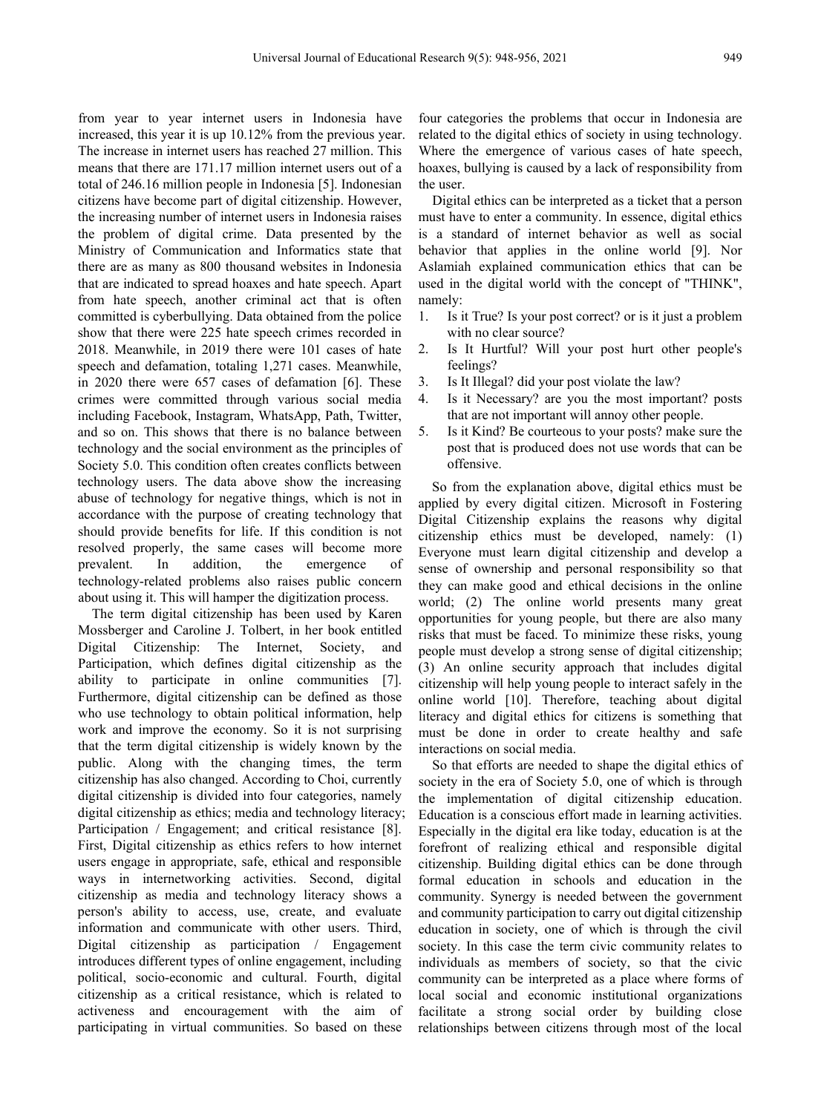from year to year internet users in Indonesia have increased, this year it is up 10.12% from the previous year. The increase in internet users has reached 27 million. This means that there are 171.17 million internet users out of a total of 246.16 million people in Indonesia [5]. Indonesian citizens have become part of digital citizenship. However, the increasing number of internet users in Indonesia raises the problem of digital crime. Data presented by the Ministry of Communication and Informatics state that there are as many as 800 thousand websites in Indonesia that are indicated to spread hoaxes and hate speech. Apart from hate speech, another criminal act that is often committed is cyberbullying. Data obtained from the police show that there were 225 hate speech crimes recorded in 2018. Meanwhile, in 2019 there were 101 cases of hate speech and defamation, totaling 1,271 cases. Meanwhile, in 2020 there were 657 cases of defamation [6]. These crimes were committed through various social media including Facebook, Instagram, WhatsApp, Path, Twitter, and so on. This shows that there is no balance between technology and the social environment as the principles of Society 5.0. This condition often creates conflicts between technology users. The data above show the increasing abuse of technology for negative things, which is not in accordance with the purpose of creating technology that should provide benefits for life. If this condition is not resolved properly, the same cases will become more prevalent. In addition, the emergence of technology-related problems also raises public concern about using it. This will hamper the digitization process.

The term digital citizenship has been used by Karen Mossberger and Caroline J. Tolbert, in her book entitled Digital Citizenship: The Internet, Society, and Participation, which defines digital citizenship as the ability to participate in online communities [7]. Furthermore, digital citizenship can be defined as those who use technology to obtain political information, help work and improve the economy. So it is not surprising that the term digital citizenship is widely known by the public. Along with the changing times, the term citizenship has also changed. According to Choi, currently digital citizenship is divided into four categories, namely digital citizenship as ethics; media and technology literacy; Participation / Engagement; and critical resistance [8]. First, Digital citizenship as ethics refers to how internet users engage in appropriate, safe, ethical and responsible ways in internetworking activities. Second, digital citizenship as media and technology literacy shows a person's ability to access, use, create, and evaluate information and communicate with other users. Third, Digital citizenship as participation / Engagement introduces different types of online engagement, including political, socio-economic and cultural. Fourth, digital citizenship as a critical resistance, which is related to activeness and encouragement with the aim of participating in virtual communities. So based on these

four categories the problems that occur in Indonesia are related to the digital ethics of society in using technology. Where the emergence of various cases of hate speech, hoaxes, bullying is caused by a lack of responsibility from the user.

Digital ethics can be interpreted as a ticket that a person must have to enter a community. In essence, digital ethics is a standard of internet behavior as well as social behavior that applies in the online world [9]. Nor Aslamiah explained communication ethics that can be used in the digital world with the concept of "THINK", namely:

- 1. Is it True? Is your post correct? or is it just a problem with no clear source?
- 2. Is It Hurtful? Will your post hurt other people's feelings?
- 3. Is It Illegal? did your post violate the law?
- 4. Is it Necessary? are you the most important? posts that are not important will annoy other people.
- 5. Is it Kind? Be courteous to your posts? make sure the post that is produced does not use words that can be offensive.

So from the explanation above, digital ethics must be applied by every digital citizen. Microsoft in Fostering Digital Citizenship explains the reasons why digital citizenship ethics must be developed, namely: (1) Everyone must learn digital citizenship and develop a sense of ownership and personal responsibility so that they can make good and ethical decisions in the online world; (2) The online world presents many great opportunities for young people, but there are also many risks that must be faced. To minimize these risks, young people must develop a strong sense of digital citizenship; (3) An online security approach that includes digital citizenship will help young people to interact safely in the online world [10]. Therefore, teaching about digital literacy and digital ethics for citizens is something that must be done in order to create healthy and safe interactions on social media.

So that efforts are needed to shape the digital ethics of society in the era of Society 5.0, one of which is through the implementation of digital citizenship education. Education is a conscious effort made in learning activities. Especially in the digital era like today, education is at the forefront of realizing ethical and responsible digital citizenship. Building digital ethics can be done through formal education in schools and education in the community. Synergy is needed between the government and community participation to carry out digital citizenship education in society, one of which is through the civil society. In this case the term civic community relates to individuals as members of society, so that the civic community can be interpreted as a place where forms of local social and economic institutional organizations facilitate a strong social order by building close relationships between citizens through most of the local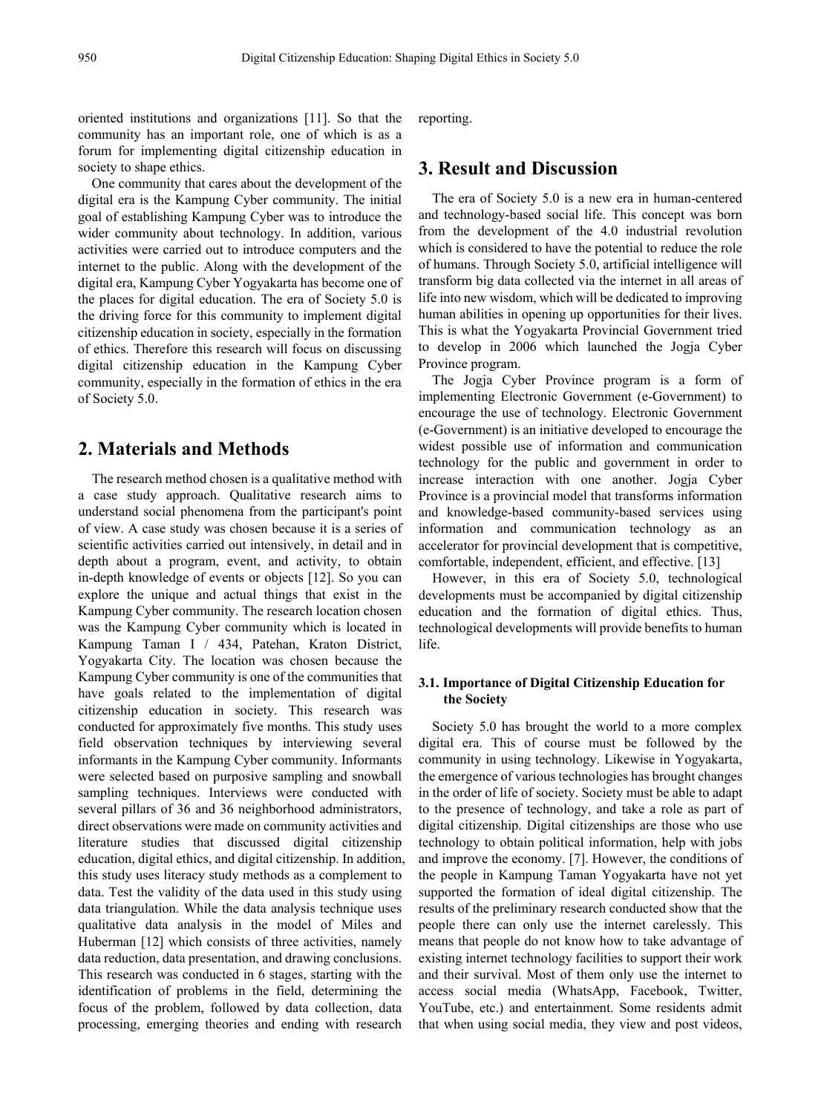oriented institutions and organizations [11]. So that the community has an important role, one of which is as a forum for implementing digital citizenship education in society to shape ethics.

One community that cares about the development of the digital era is the Kampung Cyber community. The initial goal of establishing Kampung Cyber was to introduce the wider community about technology. In addition, various activities were carried out to introduce computers and the internet to the public. Along with the development of the digital era, Kampung Cyber Yogyakarta has become one of the places for digital education. The era of Society 5.0 is the driving force for this community to implement digital citizenship education in society, especially in the formation of ethics. Therefore this research will focus on discussing digital citizenship education in the Kampung Cyber community, especially in the formation of ethics in the era of Society 5.0.

#### **2. Materials and Methods**

The research method chosen is a qualitative method with a case study approach. Qualitative research aims to understand social phenomena from the participant's point of view. A case study was chosen because it is a series of scientific activities carried out intensively, in detail and in depth about a program, event, and activity, to obtain in-depth knowledge of events or objects [12]. So you can explore the unique and actual things that exist in the Kampung Cyber community. The research location chosen was the Kampung Cyber community which is located in Kampung Taman I / 434, Patehan, Kraton District, Yogyakarta City. The location was chosen because the Kampung Cyber community is one of the communities that have goals related to the implementation of digital citizenship education in society. This research was conducted for approximately five months. This study uses field observation techniques by interviewing several informants in the Kampung Cyber community. Informants were selected based on purposive sampling and snowball sampling techniques. Interviews were conducted with several pillars of 36 and 36 neighborhood administrators, direct observations were made on community activities and literature studies that discussed digital citizenship education, digital ethics, and digital citizenship. In addition, this study uses literacy study methods as a complement to data. Test the validity of the data used in this study using data triangulation. While the data analysis technique uses qualitative data analysis in the model of Miles and Huberman [12] which consists of three activities, namely data reduction, data presentation, and drawing conclusions. This research was conducted in 6 stages, starting with the identification of problems in the field, determining the focus of the problem, followed by data collection, data processing, emerging theories and ending with research

reporting.

## **3. Result and Discussion**

The era of Society 5.0 is a new era in human-centered and technology-based social life. This concept was born from the development of the 4.0 industrial revolution which is considered to have the potential to reduce the role of humans. Through Society 5.0, artificial intelligence will transform big data collected via the internet in all areas of life into new wisdom, which will be dedicated to improving human abilities in opening up opportunities for their lives. This is what the Yogyakarta Provincial Government tried to develop in 2006 which launched the Jogja Cyber Province program.

The Jogja Cyber Province program is a form of implementing Electronic Government (e-Government) to encourage the use of technology. Electronic Government (e-Government) is an initiative developed to encourage the widest possible use of information and communication technology for the public and government in order to increase interaction with one another. Jogja Cyber Province is a provincial model that transforms information and knowledge-based community-based services using information and communication technology as an accelerator for provincial development that is competitive, comfortable, independent, efficient, and effective. [13]

However, in this era of Society 5.0, technological developments must be accompanied by digital citizenship education and the formation of digital ethics. Thus, technological developments will provide benefits to human life.

#### **3.1. Importance of Digital Citizenship Education for the Society**

Society 5.0 has brought the world to a more complex digital era. This of course must be followed by the community in using technology. Likewise in Yogyakarta, the emergence of various technologies has brought changes in the order of life of society. Society must be able to adapt to the presence of technology, and take a role as part of digital citizenship. Digital citizenships are those who use technology to obtain political information, help with jobs and improve the economy. [7]. However, the conditions of the people in Kampung Taman Yogyakarta have not yet supported the formation of ideal digital citizenship. The results of the preliminary research conducted show that the people there can only use the internet carelessly. This means that people do not know how to take advantage of existing internet technology facilities to support their work and their survival. Most of them only use the internet to access social media (WhatsApp, Facebook, Twitter, YouTube, etc.) and entertainment. Some residents admit that when using social media, they view and post videos,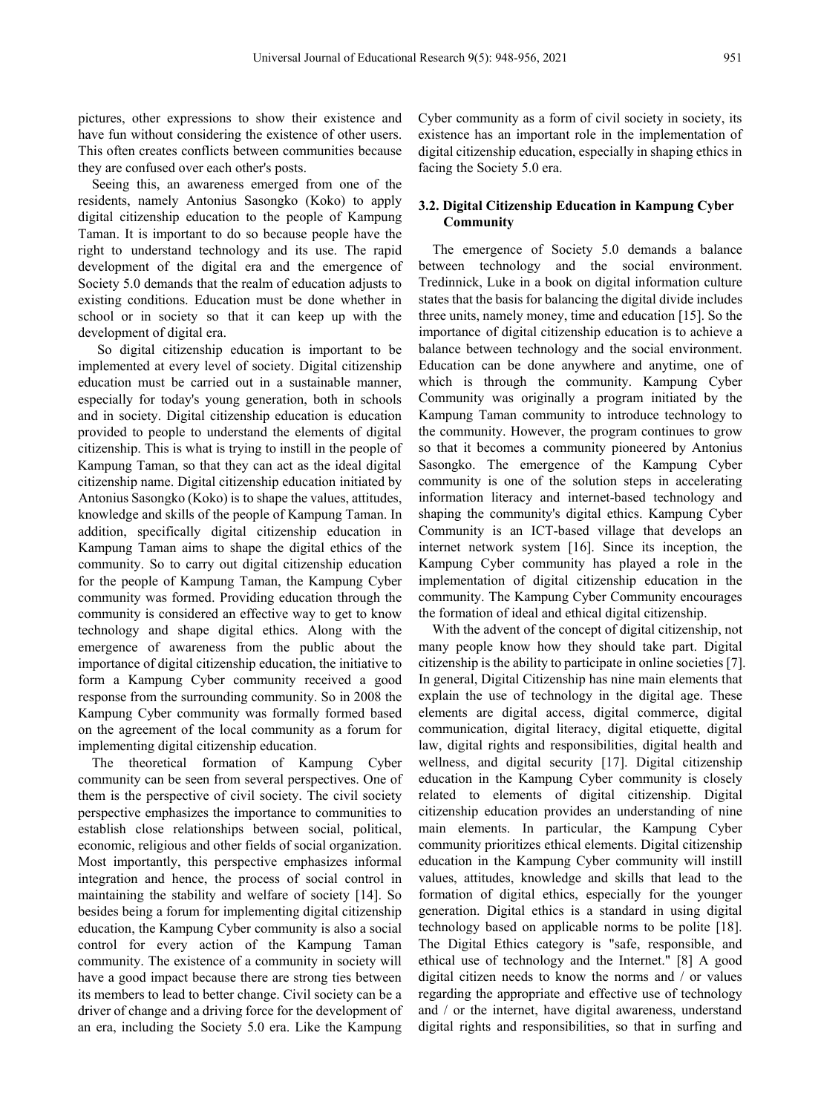pictures, other expressions to show their existence and have fun without considering the existence of other users. This often creates conflicts between communities because they are confused over each other's posts.

Seeing this, an awareness emerged from one of the residents, namely Antonius Sasongko (Koko) to apply digital citizenship education to the people of Kampung Taman. It is important to do so because people have the right to understand technology and its use. The rapid development of the digital era and the emergence of Society 5.0 demands that the realm of education adjusts to existing conditions. Education must be done whether in school or in society so that it can keep up with the development of digital era.

So digital citizenship education is important to be implemented at every level of society. Digital citizenship education must be carried out in a sustainable manner, especially for today's young generation, both in schools and in society. Digital citizenship education is education provided to people to understand the elements of digital citizenship. This is what is trying to instill in the people of Kampung Taman, so that they can act as the ideal digital citizenship name. Digital citizenship education initiated by Antonius Sasongko (Koko) is to shape the values, attitudes, knowledge and skills of the people of Kampung Taman. In addition, specifically digital citizenship education in Kampung Taman aims to shape the digital ethics of the community. So to carry out digital citizenship education for the people of Kampung Taman, the Kampung Cyber community was formed. Providing education through the community is considered an effective way to get to know technology and shape digital ethics. Along with the emergence of awareness from the public about the importance of digital citizenship education, the initiative to form a Kampung Cyber community received a good response from the surrounding community. So in 2008 the Kampung Cyber community was formally formed based on the agreement of the local community as a forum for implementing digital citizenship education.

The theoretical formation of Kampung Cyber community can be seen from several perspectives. One of them is the perspective of civil society. The civil society perspective emphasizes the importance to communities to establish close relationships between social, political, economic, religious and other fields of social organization. Most importantly, this perspective emphasizes informal integration and hence, the process of social control in maintaining the stability and welfare of society [14]. So besides being a forum for implementing digital citizenship education, the Kampung Cyber community is also a social control for every action of the Kampung Taman community. The existence of a community in society will have a good impact because there are strong ties between its members to lead to better change. Civil society can be a driver of change and a driving force for the development of an era, including the Society 5.0 era. Like the Kampung

Cyber community as a form of civil society in society, its existence has an important role in the implementation of digital citizenship education, especially in shaping ethics in facing the Society 5.0 era.

#### **3.2. Digital Citizenship Education in Kampung Cyber Community**

The emergence of Society 5.0 demands a balance between technology and the social environment. Tredinnick, Luke in a book on digital information culture states that the basis for balancing the digital divide includes three units, namely money, time and education [15]. So the importance of digital citizenship education is to achieve a balance between technology and the social environment. Education can be done anywhere and anytime, one of which is through the community. Kampung Cyber Community was originally a program initiated by the Kampung Taman community to introduce technology to the community. However, the program continues to grow so that it becomes a community pioneered by Antonius Sasongko. The emergence of the Kampung Cyber community is one of the solution steps in accelerating information literacy and internet-based technology and shaping the community's digital ethics. Kampung Cyber Community is an ICT-based village that develops an internet network system [16]. Since its inception, the Kampung Cyber community has played a role in the implementation of digital citizenship education in the community. The Kampung Cyber Community encourages the formation of ideal and ethical digital citizenship.

With the advent of the concept of digital citizenship, not many people know how they should take part. Digital citizenship is the ability to participate in online societies [7]. In general, Digital Citizenship has nine main elements that explain the use of technology in the digital age. These elements are digital access, digital commerce, digital communication, digital literacy, digital etiquette, digital law, digital rights and responsibilities, digital health and wellness, and digital security [17]. Digital citizenship education in the Kampung Cyber community is closely related to elements of digital citizenship. Digital citizenship education provides an understanding of nine main elements. In particular, the Kampung Cyber community prioritizes ethical elements. Digital citizenship education in the Kampung Cyber community will instill values, attitudes, knowledge and skills that lead to the formation of digital ethics, especially for the younger generation. Digital ethics is a standard in using digital technology based on applicable norms to be polite [18]. The Digital Ethics category is "safe, responsible, and ethical use of technology and the Internet." [8] A good digital citizen needs to know the norms and / or values regarding the appropriate and effective use of technology and / or the internet, have digital awareness, understand digital rights and responsibilities, so that in surfing and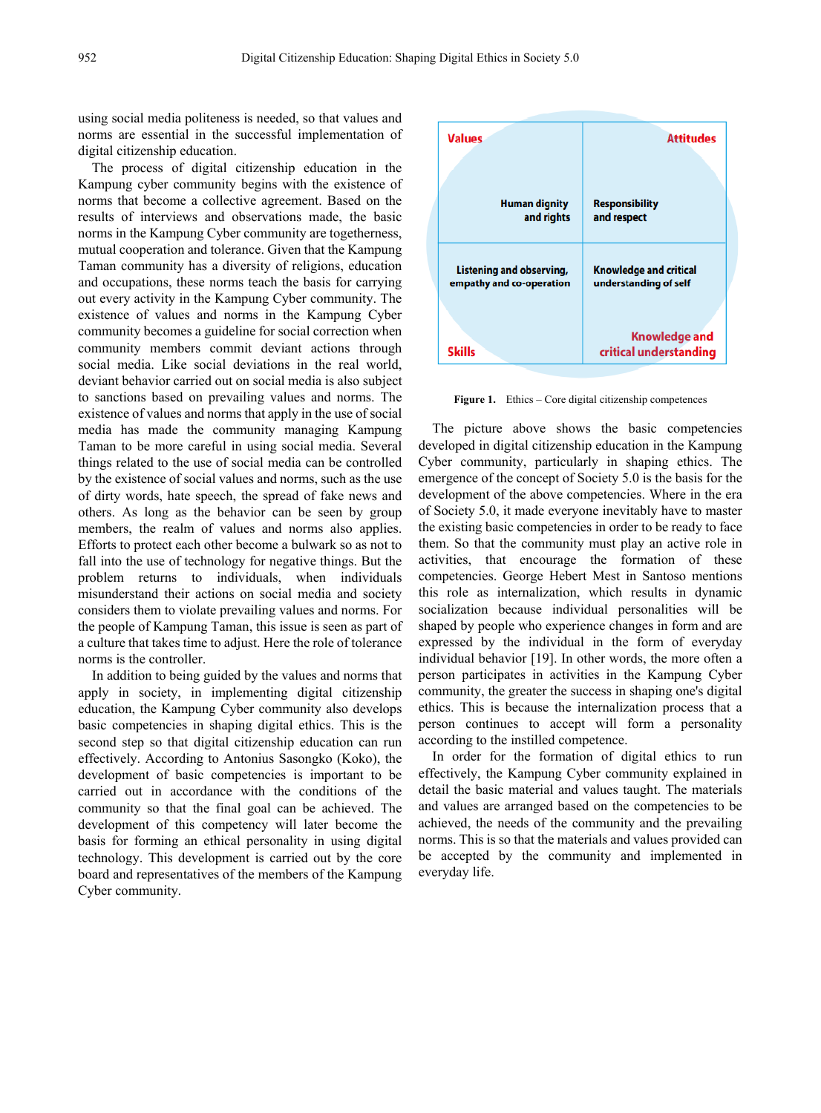using social media politeness is needed, so that values and norms are essential in the successful implementation of digital citizenship education.

The process of digital citizenship education in the Kampung cyber community begins with the existence of norms that become a collective agreement. Based on the results of interviews and observations made, the basic norms in the Kampung Cyber community are togetherness, mutual cooperation and tolerance. Given that the Kampung Taman community has a diversity of religions, education and occupations, these norms teach the basis for carrying out every activity in the Kampung Cyber community. The existence of values and norms in the Kampung Cyber community becomes a guideline for social correction when community members commit deviant actions through social media. Like social deviations in the real world, deviant behavior carried out on social media is also subject to sanctions based on prevailing values and norms. The existence of values and norms that apply in the use of social media has made the community managing Kampung Taman to be more careful in using social media. Several things related to the use of social media can be controlled by the existence of social values and norms, such as the use of dirty words, hate speech, the spread of fake news and others. As long as the behavior can be seen by group members, the realm of values and norms also applies. Efforts to protect each other become a bulwark so as not to fall into the use of technology for negative things. But the problem returns to individuals, when individuals misunderstand their actions on social media and society considers them to violate prevailing values and norms. For the people of Kampung Taman, this issue is seen as part of a culture that takes time to adjust. Here the role of tolerance norms is the controller.

In addition to being guided by the values and norms that apply in society, in implementing digital citizenship education, the Kampung Cyber community also develops basic competencies in shaping digital ethics. This is the second step so that digital citizenship education can run effectively. According to Antonius Sasongko (Koko), the development of basic competencies is important to be carried out in accordance with the conditions of the community so that the final goal can be achieved. The development of this competency will later become the basis for forming an ethical personality in using digital technology. This development is carried out by the core board and representatives of the members of the Kampung Cyber community.



Figure 1. Ethics – Core digital citizenship competences

The picture above shows the basic competencies developed in digital citizenship education in the Kampung Cyber community, particularly in shaping ethics. The emergence of the concept of Society 5.0 is the basis for the development of the above competencies. Where in the era of Society 5.0, it made everyone inevitably have to master the existing basic competencies in order to be ready to face them. So that the community must play an active role in activities, that encourage the formation of these competencies. George Hebert Mest in Santoso mentions this role as internalization, which results in dynamic socialization because individual personalities will be shaped by people who experience changes in form and are expressed by the individual in the form of everyday individual behavior [19]. In other words, the more often a person participates in activities in the Kampung Cyber community, the greater the success in shaping one's digital ethics. This is because the internalization process that a person continues to accept will form a personality according to the instilled competence.

In order for the formation of digital ethics to run effectively, the Kampung Cyber community explained in detail the basic material and values taught. The materials and values are arranged based on the competencies to be achieved, the needs of the community and the prevailing norms. This is so that the materials and values provided can be accepted by the community and implemented in everyday life.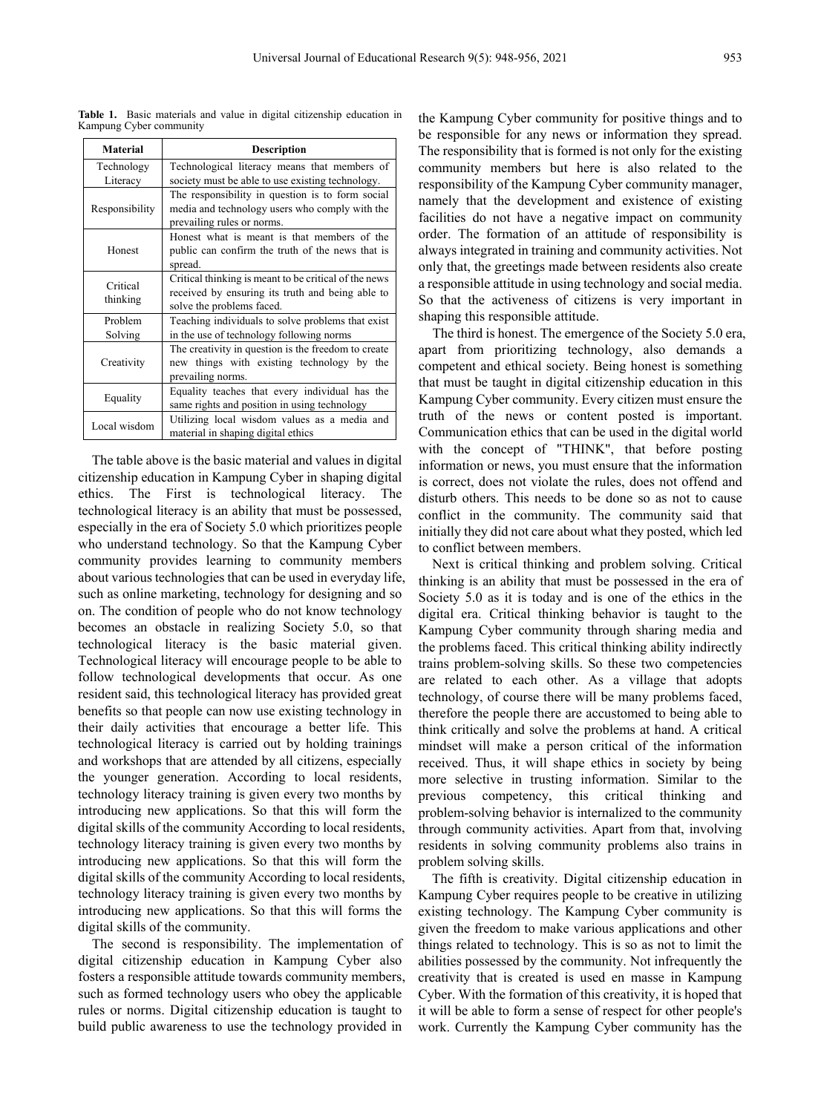| <b>Material</b>      | <b>Description</b>                                    |
|----------------------|-------------------------------------------------------|
|                      |                                                       |
| Technology           | Technological literacy means that members of          |
| Literacy             | society must be able to use existing technology.      |
| Responsibility       | The responsibility in question is to form social      |
|                      | media and technology users who comply with the        |
|                      | prevailing rules or norms.                            |
| Honest               | Honest what is meant is that members of the           |
|                      | public can confirm the truth of the news that is      |
|                      | spread.                                               |
| Critical<br>thinking | Critical thinking is meant to be critical of the news |
|                      | received by ensuring its truth and being able to      |
|                      | solve the problems faced.                             |
| Problem              | Teaching individuals to solve problems that exist     |
| Solving              | in the use of technology following norms              |
| Creativity           | The creativity in question is the freedom to create   |
|                      | new things with existing technology by the            |
|                      | prevailing norms.                                     |
| Equality             | Equality teaches that every individual has the        |
|                      | same rights and position in using technology          |
| Local wisdom         | Utilizing local wisdom values as a media and          |
|                      | material in shaping digital ethics                    |

**Table 1.** Basic materials and value in digital citizenship education in Kampung Cyber community

The table above is the basic material and values in digital citizenship education in Kampung Cyber in shaping digital ethics. The First is technological literacy. The technological literacy is an ability that must be possessed, especially in the era of Society 5.0 which prioritizes people who understand technology. So that the Kampung Cyber community provides learning to community members about various technologies that can be used in everyday life, such as online marketing, technology for designing and so on. The condition of people who do not know technology becomes an obstacle in realizing Society 5.0, so that technological literacy is the basic material given. Technological literacy will encourage people to be able to follow technological developments that occur. As one resident said, this technological literacy has provided great benefits so that people can now use existing technology in their daily activities that encourage a better life. This technological literacy is carried out by holding trainings and workshops that are attended by all citizens, especially the younger generation. According to local residents, technology literacy training is given every two months by introducing new applications. So that this will form the digital skills of the community According to local residents, technology literacy training is given every two months by introducing new applications. So that this will form the digital skills of the community According to local residents, technology literacy training is given every two months by introducing new applications. So that this will forms the digital skills of the community.

The second is responsibility. The implementation of digital citizenship education in Kampung Cyber also fosters a responsible attitude towards community members, such as formed technology users who obey the applicable rules or norms. Digital citizenship education is taught to build public awareness to use the technology provided in

the Kampung Cyber community for positive things and to be responsible for any news or information they spread. The responsibility that is formed is not only for the existing community members but here is also related to the responsibility of the Kampung Cyber community manager, namely that the development and existence of existing facilities do not have a negative impact on community order. The formation of an attitude of responsibility is always integrated in training and community activities. Not only that, the greetings made between residents also create a responsible attitude in using technology and social media. So that the activeness of citizens is very important in shaping this responsible attitude.

The third is honest. The emergence of the Society 5.0 era, apart from prioritizing technology, also demands a competent and ethical society. Being honest is something that must be taught in digital citizenship education in this Kampung Cyber community. Every citizen must ensure the truth of the news or content posted is important. Communication ethics that can be used in the digital world with the concept of "THINK", that before posting information or news, you must ensure that the information is correct, does not violate the rules, does not offend and disturb others. This needs to be done so as not to cause conflict in the community. The community said that initially they did not care about what they posted, which led to conflict between members.

Next is critical thinking and problem solving. Critical thinking is an ability that must be possessed in the era of Society 5.0 as it is today and is one of the ethics in the digital era. Critical thinking behavior is taught to the Kampung Cyber community through sharing media and the problems faced. This critical thinking ability indirectly trains problem-solving skills. So these two competencies are related to each other. As a village that adopts technology, of course there will be many problems faced, therefore the people there are accustomed to being able to think critically and solve the problems at hand. A critical mindset will make a person critical of the information received. Thus, it will shape ethics in society by being more selective in trusting information. Similar to the previous competency, this critical thinking and problem-solving behavior is internalized to the community through community activities. Apart from that, involving residents in solving community problems also trains in problem solving skills.

The fifth is creativity. Digital citizenship education in Kampung Cyber requires people to be creative in utilizing existing technology. The Kampung Cyber community is given the freedom to make various applications and other things related to technology. This is so as not to limit the abilities possessed by the community. Not infrequently the creativity that is created is used en masse in Kampung Cyber. With the formation of this creativity, it is hoped that it will be able to form a sense of respect for other people's work. Currently the Kampung Cyber community has the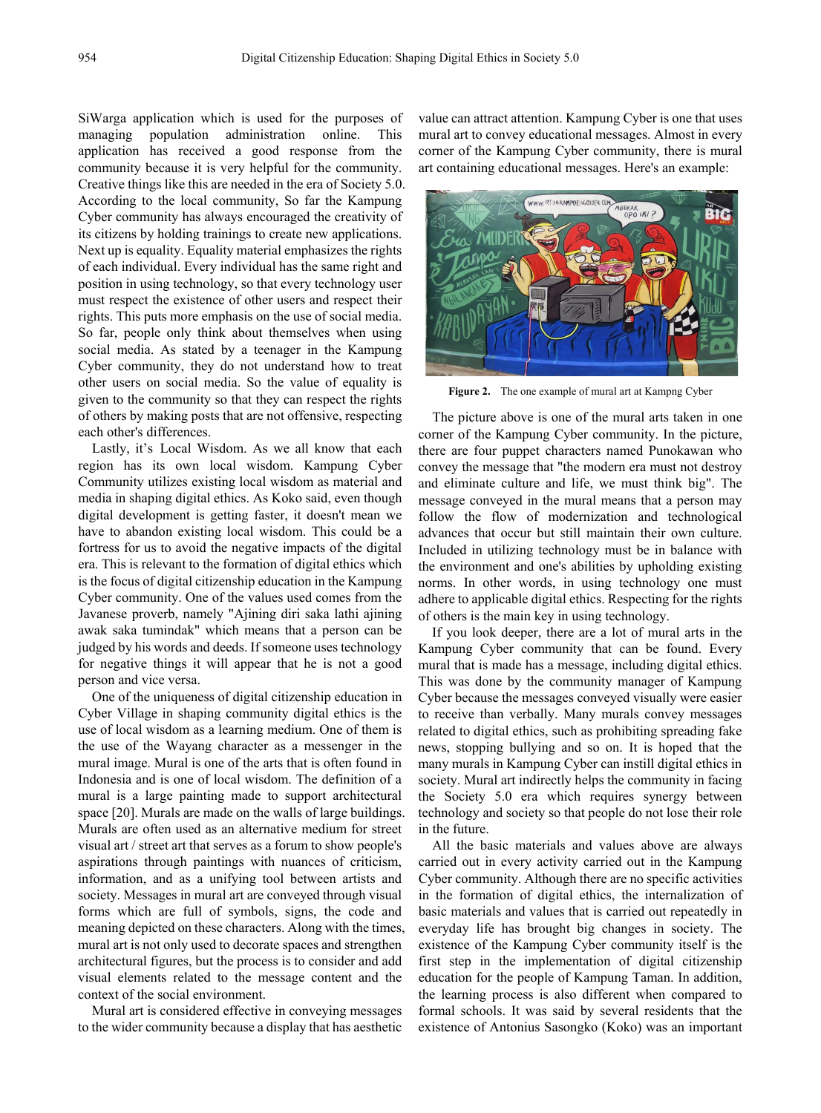SiWarga application which is used for the purposes of managing population administration online. This application has received a good response from the community because it is very helpful for the community. Creative things like this are needed in the era of Society 5.0. According to the local community, So far the Kampung Cyber community has always encouraged the creativity of its citizens by holding trainings to create new applications. Next up is equality. Equality material emphasizes the rights of each individual. Every individual has the same right and position in using technology, so that every technology user must respect the existence of other users and respect their rights. This puts more emphasis on the use of social media. So far, people only think about themselves when using social media. As stated by a teenager in the Kampung Cyber community, they do not understand how to treat other users on social media. So the value of equality is given to the community so that they can respect the rights of others by making posts that are not offensive, respecting each other's differences.

Lastly, it's Local Wisdom. As we all know that each region has its own local wisdom. Kampung Cyber Community utilizes existing local wisdom as material and media in shaping digital ethics. As Koko said, even though digital development is getting faster, it doesn't mean we have to abandon existing local wisdom. This could be a fortress for us to avoid the negative impacts of the digital era. This is relevant to the formation of digital ethics which is the focus of digital citizenship education in the Kampung Cyber community. One of the values used comes from the Javanese proverb, namely "Ajining diri saka lathi ajining awak saka tumindak" which means that a person can be judged by his words and deeds. If someone uses technology for negative things it will appear that he is not a good person and vice versa.

One of the uniqueness of digital citizenship education in Cyber Village in shaping community digital ethics is the use of local wisdom as a learning medium. One of them is the use of the Wayang character as a messenger in the mural image. Mural is one of the arts that is often found in Indonesia and is one of local wisdom. The definition of a mural is a large painting made to support architectural space [20]. Murals are made on the walls of large buildings. Murals are often used as an alternative medium for street visual art / street art that serves as a forum to show people's aspirations through paintings with nuances of criticism, information, and as a unifying tool between artists and society. Messages in mural art are conveyed through visual forms which are full of symbols, signs, the code and meaning depicted on these characters. Along with the times, mural art is not only used to decorate spaces and strengthen architectural figures, but the process is to consider and add visual elements related to the message content and the context of the social environment.

Mural art is considered effective in conveying messages to the wider community because a display that has aesthetic value can attract attention. Kampung Cyber is one that uses mural art to convey educational messages. Almost in every corner of the Kampung Cyber community, there is mural art containing educational messages. Here's an example:



**Figure 2.** The one example of mural art at Kampng Cyber

The picture above is one of the mural arts taken in one corner of the Kampung Cyber community. In the picture, there are four puppet characters named Punokawan who convey the message that "the modern era must not destroy and eliminate culture and life, we must think big". The message conveyed in the mural means that a person may follow the flow of modernization and technological advances that occur but still maintain their own culture. Included in utilizing technology must be in balance with the environment and one's abilities by upholding existing norms. In other words, in using technology one must adhere to applicable digital ethics. Respecting for the rights of others is the main key in using technology.

If you look deeper, there are a lot of mural arts in the Kampung Cyber community that can be found. Every mural that is made has a message, including digital ethics. This was done by the community manager of Kampung Cyber because the messages conveyed visually were easier to receive than verbally. Many murals convey messages related to digital ethics, such as prohibiting spreading fake news, stopping bullying and so on. It is hoped that the many murals in Kampung Cyber can instill digital ethics in society. Mural art indirectly helps the community in facing the Society 5.0 era which requires synergy between technology and society so that people do not lose their role in the future.

All the basic materials and values above are always carried out in every activity carried out in the Kampung Cyber community. Although there are no specific activities in the formation of digital ethics, the internalization of basic materials and values that is carried out repeatedly in everyday life has brought big changes in society. The existence of the Kampung Cyber community itself is the first step in the implementation of digital citizenship education for the people of Kampung Taman. In addition, the learning process is also different when compared to formal schools. It was said by several residents that the existence of Antonius Sasongko (Koko) was an important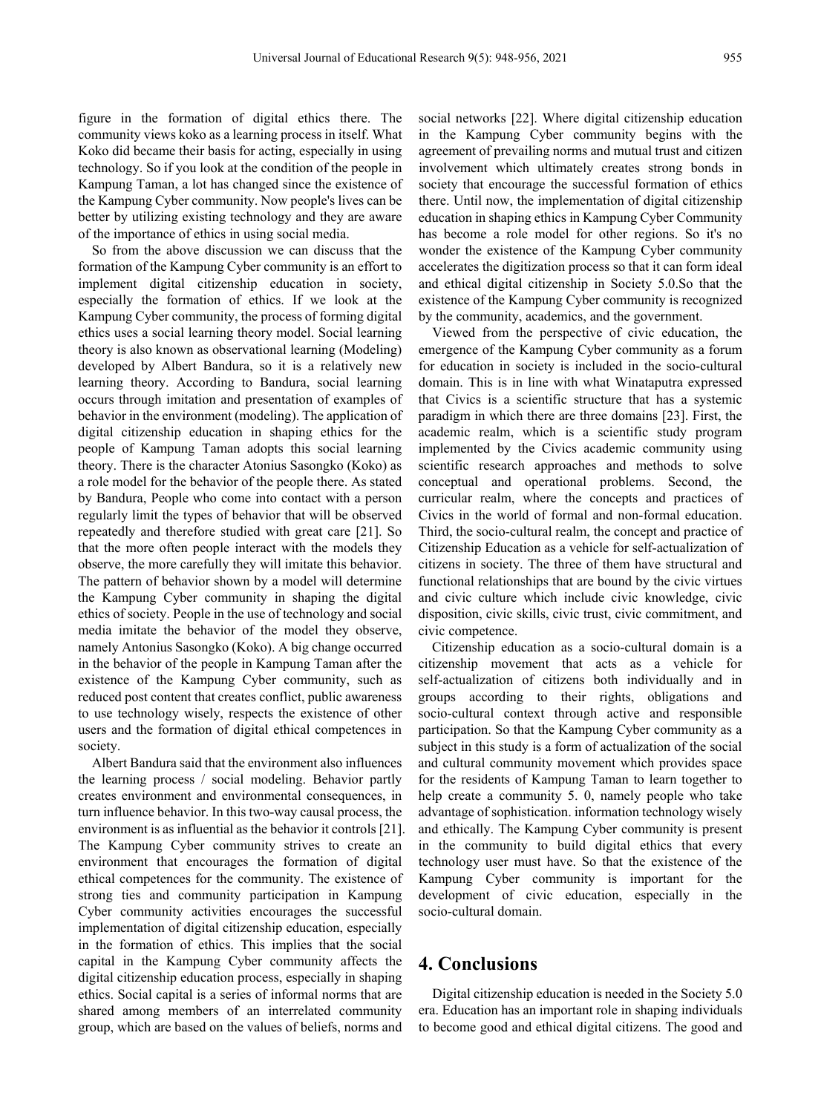figure in the formation of digital ethics there. The community views koko as a learning process in itself. What Koko did became their basis for acting, especially in using technology. So if you look at the condition of the people in Kampung Taman, a lot has changed since the existence of the Kampung Cyber community. Now people's lives can be better by utilizing existing technology and they are aware of the importance of ethics in using social media.

So from the above discussion we can discuss that the formation of the Kampung Cyber community is an effort to implement digital citizenship education in society, especially the formation of ethics. If we look at the Kampung Cyber community, the process of forming digital ethics uses a social learning theory model. Social learning theory is also known as observational learning (Modeling) developed by Albert Bandura, so it is a relatively new learning theory. According to Bandura, social learning occurs through imitation and presentation of examples of behavior in the environment (modeling). The application of digital citizenship education in shaping ethics for the people of Kampung Taman adopts this social learning theory. There is the character Atonius Sasongko (Koko) as a role model for the behavior of the people there. As stated by Bandura, People who come into contact with a person regularly limit the types of behavior that will be observed repeatedly and therefore studied with great care [21]. So that the more often people interact with the models they observe, the more carefully they will imitate this behavior. The pattern of behavior shown by a model will determine the Kampung Cyber community in shaping the digital ethics of society. People in the use of technology and social media imitate the behavior of the model they observe, namely Antonius Sasongko (Koko). A big change occurred in the behavior of the people in Kampung Taman after the existence of the Kampung Cyber community, such as reduced post content that creates conflict, public awareness to use technology wisely, respects the existence of other users and the formation of digital ethical competences in society.

Albert Bandura said that the environment also influences the learning process / social modeling. Behavior partly creates environment and environmental consequences, in turn influence behavior. In this two-way causal process, the environment is as influential as the behavior it controls [21]. The Kampung Cyber community strives to create an environment that encourages the formation of digital ethical competences for the community. The existence of strong ties and community participation in Kampung Cyber community activities encourages the successful implementation of digital citizenship education, especially in the formation of ethics. This implies that the social capital in the Kampung Cyber community affects the digital citizenship education process, especially in shaping ethics. Social capital is a series of informal norms that are shared among members of an interrelated community group, which are based on the values of beliefs, norms and

social networks [22]. Where digital citizenship education in the Kampung Cyber community begins with the agreement of prevailing norms and mutual trust and citizen involvement which ultimately creates strong bonds in society that encourage the successful formation of ethics there. Until now, the implementation of digital citizenship education in shaping ethics in Kampung Cyber Community has become a role model for other regions. So it's no wonder the existence of the Kampung Cyber community accelerates the digitization process so that it can form ideal and ethical digital citizenship in Society 5.0.So that the existence of the Kampung Cyber community is recognized by the community, academics, and the government.

Viewed from the perspective of civic education, the emergence of the Kampung Cyber community as a forum for education in society is included in the socio-cultural domain. This is in line with what Winataputra expressed that Civics is a scientific structure that has a systemic paradigm in which there are three domains [23]. First, the academic realm, which is a scientific study program implemented by the Civics academic community using scientific research approaches and methods to solve conceptual and operational problems. Second, the curricular realm, where the concepts and practices of Civics in the world of formal and non-formal education. Third, the socio-cultural realm, the concept and practice of Citizenship Education as a vehicle for self-actualization of citizens in society. The three of them have structural and functional relationships that are bound by the civic virtues and civic culture which include civic knowledge, civic disposition, civic skills, civic trust, civic commitment, and civic competence.

Citizenship education as a socio-cultural domain is a citizenship movement that acts as a vehicle for self-actualization of citizens both individually and in groups according to their rights, obligations and socio-cultural context through active and responsible participation. So that the Kampung Cyber community as a subject in this study is a form of actualization of the social and cultural community movement which provides space for the residents of Kampung Taman to learn together to help create a community 5. 0, namely people who take advantage of sophistication. information technology wisely and ethically. The Kampung Cyber community is present in the community to build digital ethics that every technology user must have. So that the existence of the Kampung Cyber community is important for the development of civic education, especially in the socio-cultural domain.

#### **4. Conclusions**

Digital citizenship education is needed in the Society 5.0 era. Education has an important role in shaping individuals to become good and ethical digital citizens. The good and